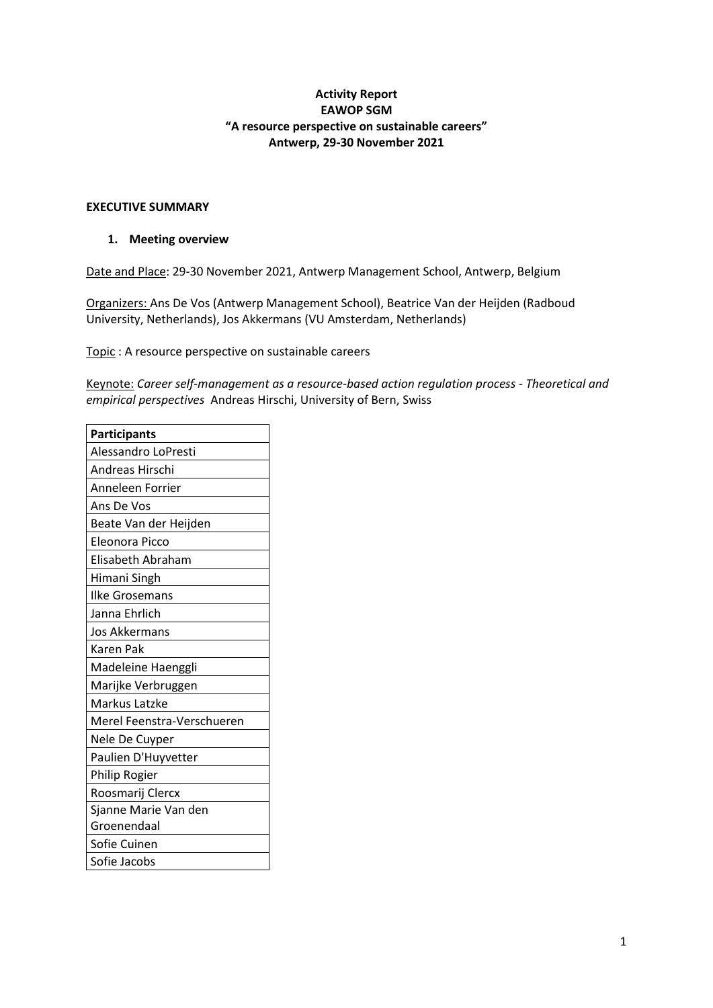# **Activity Report EAWOP SGM "A resource perspective on sustainable careers" Antwerp, 29-30 November 2021**

# **EXECUTIVE SUMMARY**

### **1. Meeting overview**

Date and Place: 29-30 November 2021, Antwerp Management School, Antwerp, Belgium

Organizers: Ans De Vos (Antwerp Management School), Beatrice Van der Heijden (Radboud University, Netherlands), Jos Akkermans (VU Amsterdam, Netherlands)

Topic : A resource perspective on sustainable careers

Keynote: *Career self-management as a resource-based action regulation process - Theoretical and empirical perspectives* Andreas Hirschi, University of Bern, Swiss

| <b>Participants</b>        |  |  |  |  |  |
|----------------------------|--|--|--|--|--|
| Alessandro LoPresti        |  |  |  |  |  |
| Andreas Hirschi            |  |  |  |  |  |
| Anneleen Forrier           |  |  |  |  |  |
| Ans De Vos                 |  |  |  |  |  |
| Beate Van der Heijden      |  |  |  |  |  |
| Eleonora Picco             |  |  |  |  |  |
| Elisabeth Abraham          |  |  |  |  |  |
| Himani Singh               |  |  |  |  |  |
| <b>Ilke Grosemans</b>      |  |  |  |  |  |
| Janna Ehrlich              |  |  |  |  |  |
| Jos Akkermans              |  |  |  |  |  |
| <b>Karen Pak</b>           |  |  |  |  |  |
| Madeleine Haenggli         |  |  |  |  |  |
| Marijke Verbruggen         |  |  |  |  |  |
| Markus Latzke              |  |  |  |  |  |
| Merel Feenstra-Verschueren |  |  |  |  |  |
| Nele De Cuyper             |  |  |  |  |  |
| Paulien D'Huyvetter        |  |  |  |  |  |
| Philip Rogier              |  |  |  |  |  |
| Roosmarij Clercx           |  |  |  |  |  |
| Sjanne Marie Van den       |  |  |  |  |  |
| Groenendaal                |  |  |  |  |  |
| Sofie Cuinen               |  |  |  |  |  |
| Sofie Jacobs               |  |  |  |  |  |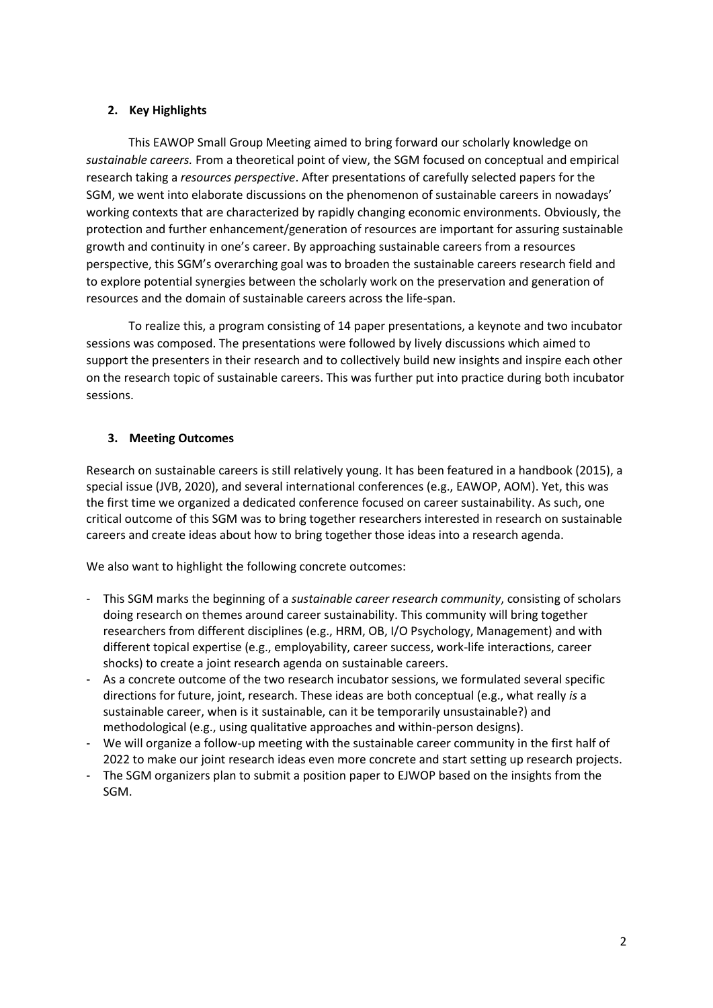# **2. Key Highlights**

This EAWOP Small Group Meeting aimed to bring forward our scholarly knowledge on *sustainable careers.* From a theoretical point of view, the SGM focused on conceptual and empirical research taking a *resources perspective*. After presentations of carefully selected papers for the SGM, we went into elaborate discussions on the phenomenon of sustainable careers in nowadays' working contexts that are characterized by rapidly changing economic environments. Obviously, the protection and further enhancement/generation of resources are important for assuring sustainable growth and continuity in one's career. By approaching sustainable careers from a resources perspective, this SGM's overarching goal was to broaden the sustainable careers research field and to explore potential synergies between the scholarly work on the preservation and generation of resources and the domain of sustainable careers across the life-span.

To realize this, a program consisting of 14 paper presentations, a keynote and two incubator sessions was composed. The presentations were followed by lively discussions which aimed to support the presenters in their research and to collectively build new insights and inspire each other on the research topic of sustainable careers. This was further put into practice during both incubator sessions.

## **3. Meeting Outcomes**

Research on sustainable careers is still relatively young. It has been featured in a handbook (2015), a special issue (JVB, 2020), and several international conferences (e.g., EAWOP, AOM). Yet, this was the first time we organized a dedicated conference focused on career sustainability. As such, one critical outcome of this SGM was to bring together researchers interested in research on sustainable careers and create ideas about how to bring together those ideas into a research agenda.

We also want to highlight the following concrete outcomes:

- This SGM marks the beginning of a *sustainable career research community*, consisting of scholars doing research on themes around career sustainability. This community will bring together researchers from different disciplines (e.g., HRM, OB, I/O Psychology, Management) and with different topical expertise (e.g., employability, career success, work-life interactions, career shocks) to create a joint research agenda on sustainable careers.
- As a concrete outcome of the two research incubator sessions, we formulated several specific directions for future, joint, research. These ideas are both conceptual (e.g., what really *is* a sustainable career, when is it sustainable, can it be temporarily unsustainable?) and methodological (e.g., using qualitative approaches and within-person designs).
- We will organize a follow-up meeting with the sustainable career community in the first half of 2022 to make our joint research ideas even more concrete and start setting up research projects.
- The SGM organizers plan to submit a position paper to EJWOP based on the insights from the SGM.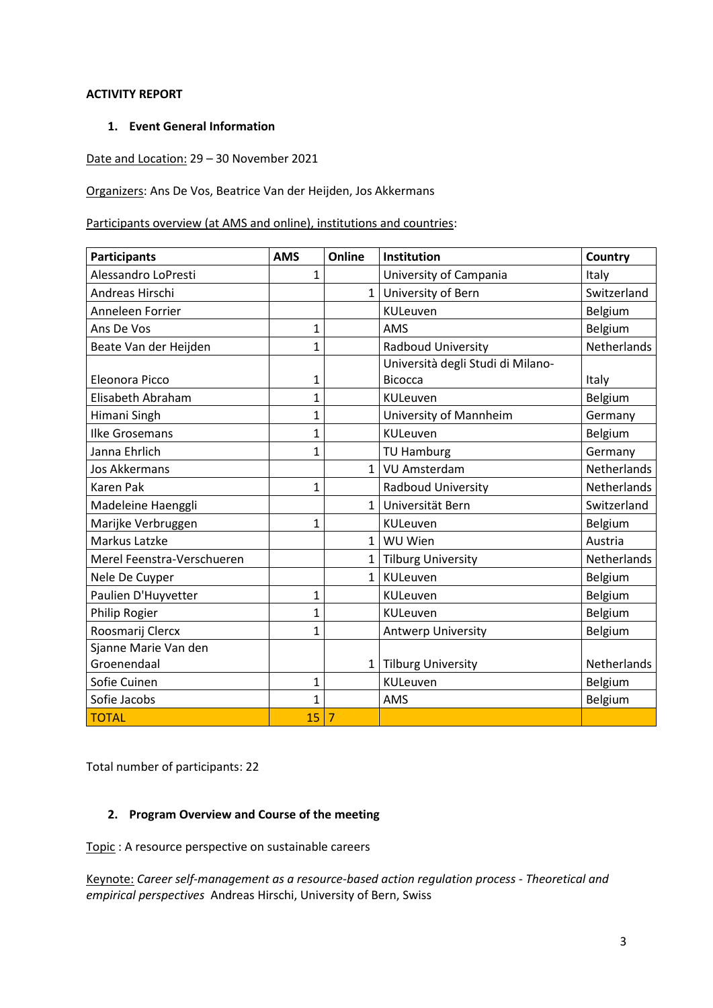# **ACTIVITY REPORT**

## **1. Event General Information**

# Date and Location: 29 – 30 November 2021

Organizers: Ans De Vos, Beatrice Van der Heijden, Jos Akkermans

Participants overview (at AMS and online), institutions and countries:

| <b>Participants</b>        | <b>AMS</b>     | Online         | Institution                       | Country            |
|----------------------------|----------------|----------------|-----------------------------------|--------------------|
| Alessandro LoPresti        | 1              |                | University of Campania            | Italy              |
| Andreas Hirschi            |                | 1 <sup>1</sup> | University of Bern                | Switzerland        |
| Anneleen Forrier           |                |                | <b>KULeuven</b>                   | Belgium            |
| Ans De Vos                 | 1              |                | AMS                               | Belgium            |
| Beate Van der Heijden      | $\mathbf{1}$   |                | Radboud University                | <b>Netherlands</b> |
|                            |                |                | Università degli Studi di Milano- |                    |
| Eleonora Picco             | 1              |                | <b>Bicocca</b>                    | Italy              |
| Elisabeth Abraham          | $\mathbf 1$    |                | KULeuven                          | Belgium            |
| Himani Singh               | 1              |                | University of Mannheim            | Germany            |
| <b>Ilke Grosemans</b>      | $\overline{1}$ |                | <b>KULeuven</b>                   | Belgium            |
| Janna Ehrlich              | 1              |                | <b>TU Hamburg</b>                 | Germany            |
| <b>Jos Akkermans</b>       |                | $\mathbf{1}$   | VU Amsterdam                      | Netherlands        |
| <b>Karen Pak</b>           | $\mathbf{1}$   |                | Radboud University                | Netherlands        |
| Madeleine Haenggli         |                | $\mathbf{1}$   | Universität Bern                  | Switzerland        |
| Marijke Verbruggen         | 1              |                | KULeuven                          | Belgium            |
| Markus Latzke              |                | $\mathbf{1}$   | WU Wien                           | Austria            |
| Merel Feenstra-Verschueren |                | $\mathbf{1}$   | <b>Tilburg University</b>         | <b>Netherlands</b> |
| Nele De Cuyper             |                | $\mathbf{1}$   | <b>KULeuven</b>                   | Belgium            |
| Paulien D'Huyvetter        | 1              |                | KULeuven                          | Belgium            |
| Philip Rogier              | $\mathbf 1$    |                | KULeuven                          | Belgium            |
| Roosmarij Clercx           | 1              |                | <b>Antwerp University</b>         | Belgium            |
| Sjanne Marie Van den       |                |                |                                   |                    |
| Groenendaal                |                | 1 <sup>1</sup> | <b>Tilburg University</b>         | Netherlands        |
| Sofie Cuinen               | $\mathbf 1$    |                | KULeuven                          | Belgium            |
| Sofie Jacobs               | 1              |                | AMS                               | Belgium            |
| <b>TOTAL</b>               | 15             | $\overline{7}$ |                                   |                    |

Total number of participants: 22

# **2. Program Overview and Course of the meeting**

Topic : A resource perspective on sustainable careers

Keynote: *Career self-management as a resource-based action regulation process - Theoretical and empirical perspectives* Andreas Hirschi, University of Bern, Swiss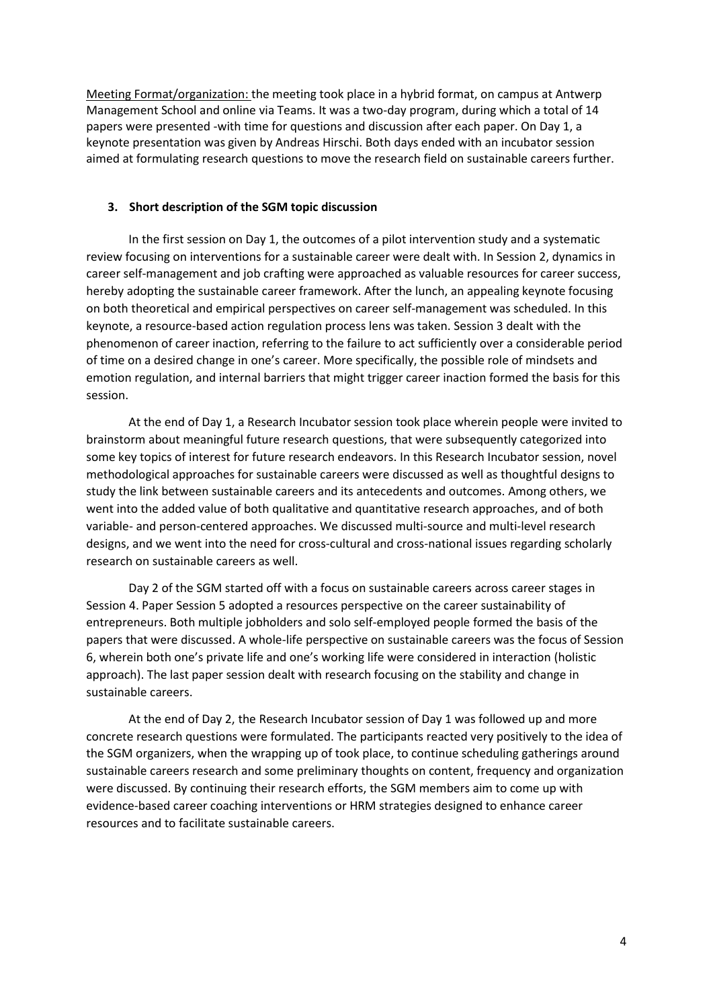Meeting Format/organization: the meeting took place in a hybrid format, on campus at Antwerp Management School and online via Teams. It was a two-day program, during which a total of 14 papers were presented -with time for questions and discussion after each paper. On Day 1, a keynote presentation was given by Andreas Hirschi. Both days ended with an incubator session aimed at formulating research questions to move the research field on sustainable careers further.

### **3. Short description of the SGM topic discussion**

In the first session on Day 1, the outcomes of a pilot intervention study and a systematic review focusing on interventions for a sustainable career were dealt with. In Session 2, dynamics in career self-management and job crafting were approached as valuable resources for career success, hereby adopting the sustainable career framework. After the lunch, an appealing keynote focusing on both theoretical and empirical perspectives on career self-management was scheduled. In this keynote, a resource-based action regulation process lens was taken. Session 3 dealt with the phenomenon of career inaction, referring to the failure to act sufficiently over a considerable period of time on a desired change in one's career. More specifically, the possible role of mindsets and emotion regulation, and internal barriers that might trigger career inaction formed the basis for this session.

At the end of Day 1, a Research Incubator session took place wherein people were invited to brainstorm about meaningful future research questions, that were subsequently categorized into some key topics of interest for future research endeavors. In this Research Incubator session, novel methodological approaches for sustainable careers were discussed as well as thoughtful designs to study the link between sustainable careers and its antecedents and outcomes. Among others, we went into the added value of both qualitative and quantitative research approaches, and of both variable- and person-centered approaches. We discussed multi-source and multi-level research designs, and we went into the need for cross-cultural and cross-national issues regarding scholarly research on sustainable careers as well.

Day 2 of the SGM started off with a focus on sustainable careers across career stages in Session 4. Paper Session 5 adopted a resources perspective on the career sustainability of entrepreneurs. Both multiple jobholders and solo self-employed people formed the basis of the papers that were discussed. A whole-life perspective on sustainable careers was the focus of Session 6, wherein both one's private life and one's working life were considered in interaction (holistic approach). The last paper session dealt with research focusing on the stability and change in sustainable careers.

At the end of Day 2, the Research Incubator session of Day 1 was followed up and more concrete research questions were formulated. The participants reacted very positively to the idea of the SGM organizers, when the wrapping up of took place, to continue scheduling gatherings around sustainable careers research and some preliminary thoughts on content, frequency and organization were discussed. By continuing their research efforts, the SGM members aim to come up with evidence-based career coaching interventions or HRM strategies designed to enhance career resources and to facilitate sustainable careers.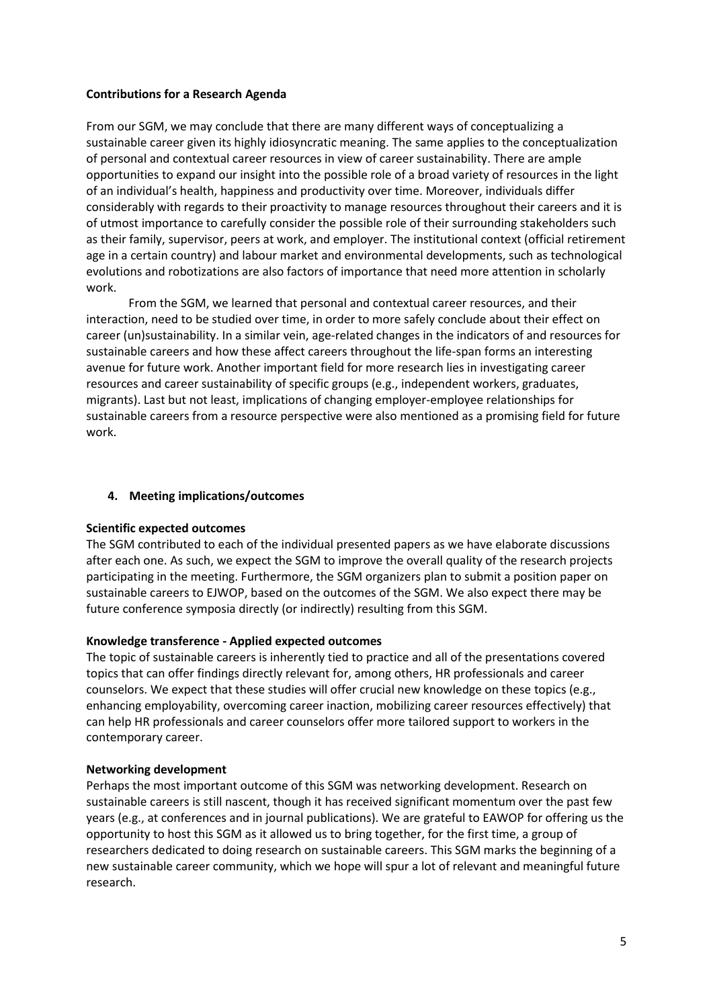### **Contributions for a Research Agenda**

From our SGM, we may conclude that there are many different ways of conceptualizing a sustainable career given its highly idiosyncratic meaning. The same applies to the conceptualization of personal and contextual career resources in view of career sustainability. There are ample opportunities to expand our insight into the possible role of a broad variety of resources in the light of an individual's health, happiness and productivity over time. Moreover, individuals differ considerably with regards to their proactivity to manage resources throughout their careers and it is of utmost importance to carefully consider the possible role of their surrounding stakeholders such as their family, supervisor, peers at work, and employer. The institutional context (official retirement age in a certain country) and labour market and environmental developments, such as technological evolutions and robotizations are also factors of importance that need more attention in scholarly work.

From the SGM, we learned that personal and contextual career resources, and their interaction, need to be studied over time, in order to more safely conclude about their effect on career (un)sustainability. In a similar vein, age-related changes in the indicators of and resources for sustainable careers and how these affect careers throughout the life-span forms an interesting avenue for future work. Another important field for more research lies in investigating career resources and career sustainability of specific groups (e.g., independent workers, graduates, migrants). Last but not least, implications of changing employer-employee relationships for sustainable careers from a resource perspective were also mentioned as a promising field for future work.

## **4. Meeting implications/outcomes**

### **Scientific expected outcomes**

The SGM contributed to each of the individual presented papers as we have elaborate discussions after each one. As such, we expect the SGM to improve the overall quality of the research projects participating in the meeting. Furthermore, the SGM organizers plan to submit a position paper on sustainable careers to EJWOP, based on the outcomes of the SGM. We also expect there may be future conference symposia directly (or indirectly) resulting from this SGM.

### **Knowledge transference - Applied expected outcomes**

The topic of sustainable careers is inherently tied to practice and all of the presentations covered topics that can offer findings directly relevant for, among others, HR professionals and career counselors. We expect that these studies will offer crucial new knowledge on these topics (e.g., enhancing employability, overcoming career inaction, mobilizing career resources effectively) that can help HR professionals and career counselors offer more tailored support to workers in the contemporary career.

### **Networking development**

Perhaps the most important outcome of this SGM was networking development. Research on sustainable careers is still nascent, though it has received significant momentum over the past few years (e.g., at conferences and in journal publications). We are grateful to EAWOP for offering us the opportunity to host this SGM as it allowed us to bring together, for the first time, a group of researchers dedicated to doing research on sustainable careers. This SGM marks the beginning of a new sustainable career community, which we hope will spur a lot of relevant and meaningful future research.